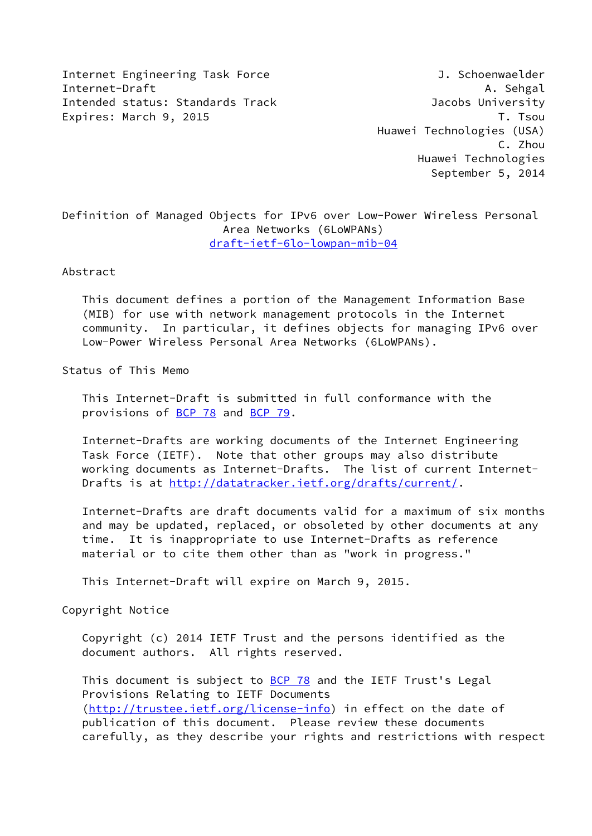Internet Engineering Task Force 3. Schoenwaelder Internet-Draft A. Sehgal A. Sehgal A. Sehgal A. Sehgal A. Sehgal A. Sehgal A. Sehgal A. Sehgal A. Sehgal A. Sehgal A. Sehgal A. Sehgal A. Sehgal A. Sehgal A. Sehgal A. Sehgal A. Sehgal A. Sehgal A. Sehgal A. Sehgal A. Sehg Intended status: Standards Track Jacobs University Expires: March 9, 2015 T. Tsou

 Huawei Technologies (USA) C. Zhou Huawei Technologies September 5, 2014

Definition of Managed Objects for IPv6 over Low-Power Wireless Personal Area Networks (6LoWPANs) [draft-ietf-6lo-lowpan-mib-04](https://datatracker.ietf.org/doc/pdf/draft-ietf-6lo-lowpan-mib-04)

Abstract

 This document defines a portion of the Management Information Base (MIB) for use with network management protocols in the Internet community. In particular, it defines objects for managing IPv6 over Low-Power Wireless Personal Area Networks (6LoWPANs).

Status of This Memo

 This Internet-Draft is submitted in full conformance with the provisions of [BCP 78](https://datatracker.ietf.org/doc/pdf/bcp78) and [BCP 79](https://datatracker.ietf.org/doc/pdf/bcp79).

 Internet-Drafts are working documents of the Internet Engineering Task Force (IETF). Note that other groups may also distribute working documents as Internet-Drafts. The list of current Internet- Drafts is at<http://datatracker.ietf.org/drafts/current/>.

 Internet-Drafts are draft documents valid for a maximum of six months and may be updated, replaced, or obsoleted by other documents at any time. It is inappropriate to use Internet-Drafts as reference material or to cite them other than as "work in progress."

This Internet-Draft will expire on March 9, 2015.

Copyright Notice

 Copyright (c) 2014 IETF Trust and the persons identified as the document authors. All rights reserved.

This document is subject to **[BCP 78](https://datatracker.ietf.org/doc/pdf/bcp78)** and the IETF Trust's Legal Provisions Relating to IETF Documents [\(http://trustee.ietf.org/license-info](http://trustee.ietf.org/license-info)) in effect on the date of publication of this document. Please review these documents carefully, as they describe your rights and restrictions with respect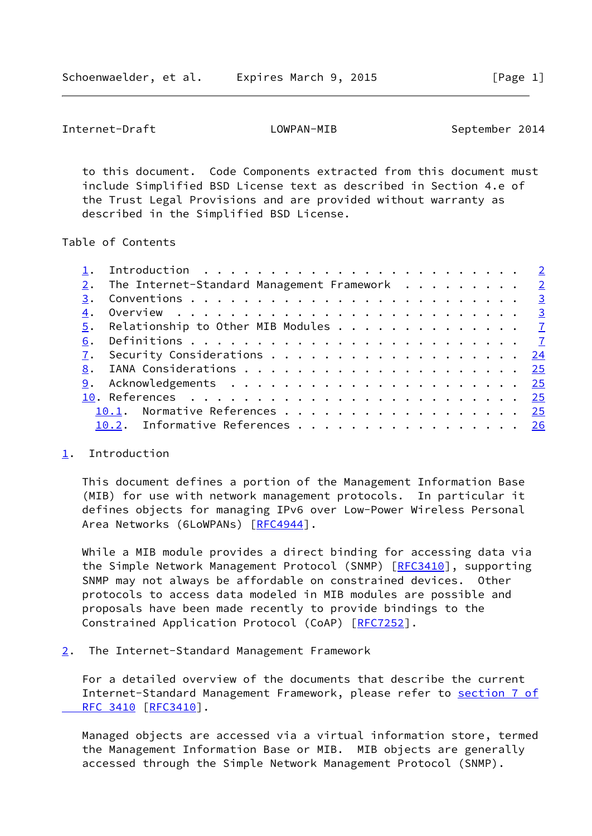<span id="page-1-1"></span>Internet-Draft LOWPAN-MIB September 2014

 to this document. Code Components extracted from this document must include Simplified BSD License text as described in Section 4.e of the Trust Legal Provisions and are provided without warranty as described in the Simplified BSD License.

Table of Contents

| 2. The Internet-Standard Management Framework $2$<br>3.<br>4.<br>5. Relationship to Other MIB Modules $\cdots$ 7<br>6.<br>7. Security Considerations 24<br>8.<br>10.1. Normative References 25<br>10.2. Informative References 26 |  |  |
|-----------------------------------------------------------------------------------------------------------------------------------------------------------------------------------------------------------------------------------|--|--|
|                                                                                                                                                                                                                                   |  |  |
|                                                                                                                                                                                                                                   |  |  |
|                                                                                                                                                                                                                                   |  |  |
|                                                                                                                                                                                                                                   |  |  |
|                                                                                                                                                                                                                                   |  |  |
|                                                                                                                                                                                                                                   |  |  |
|                                                                                                                                                                                                                                   |  |  |
|                                                                                                                                                                                                                                   |  |  |
|                                                                                                                                                                                                                                   |  |  |
|                                                                                                                                                                                                                                   |  |  |
|                                                                                                                                                                                                                                   |  |  |

# <span id="page-1-0"></span>[1](#page-1-0). Introduction

 This document defines a portion of the Management Information Base (MIB) for use with network management protocols. In particular it defines objects for managing IPv6 over Low-Power Wireless Personal Area Networks (6LoWPANs) [\[RFC4944](https://datatracker.ietf.org/doc/pdf/rfc4944)].

 While a MIB module provides a direct binding for accessing data via the Simple Network Management Protocol (SNMP) [[RFC3410](https://datatracker.ietf.org/doc/pdf/rfc3410)], supporting SNMP may not always be affordable on constrained devices. Other protocols to access data modeled in MIB modules are possible and proposals have been made recently to provide bindings to the Constrained Application Protocol (CoAP) [\[RFC7252](https://datatracker.ietf.org/doc/pdf/rfc7252)].

<span id="page-1-2"></span>[2](#page-1-2). The Internet-Standard Management Framework

 For a detailed overview of the documents that describe the current Internet-Standard Management Framework, please refer to [section](https://datatracker.ietf.org/doc/pdf/rfc3410#section-7) 7 of  [RFC 3410](https://datatracker.ietf.org/doc/pdf/rfc3410#section-7) [\[RFC3410](https://datatracker.ietf.org/doc/pdf/rfc3410)].

 Managed objects are accessed via a virtual information store, termed the Management Information Base or MIB. MIB objects are generally accessed through the Simple Network Management Protocol (SNMP).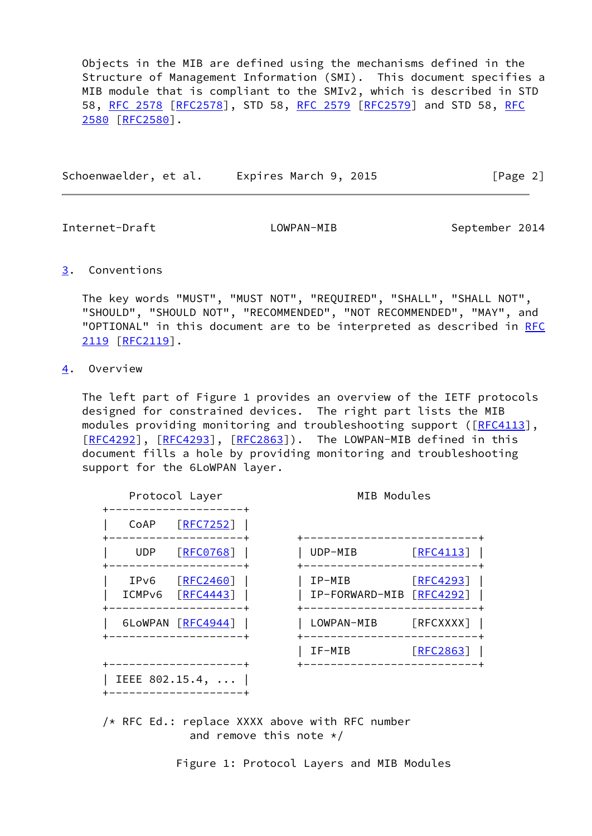Objects in the MIB are defined using the mechanisms defined in the Structure of Management Information (SMI). This document specifies a MIB module that is compliant to the SMIv2, which is described in STD 58, [RFC 2578 \[RFC2578](https://datatracker.ietf.org/doc/pdf/rfc2578)], STD 58, [RFC 2579](https://datatracker.ietf.org/doc/pdf/rfc2579) [\[RFC2579](https://datatracker.ietf.org/doc/pdf/rfc2579)] and STD 58, [RFC](https://datatracker.ietf.org/doc/pdf/rfc2580) [2580](https://datatracker.ietf.org/doc/pdf/rfc2580) [\[RFC2580](https://datatracker.ietf.org/doc/pdf/rfc2580)].

Schoenwaelder, et al. Expires March 9, 2015 [Page 2]

<span id="page-2-1"></span>Internet-Draft LOWPAN-MIB September 2014

<span id="page-2-0"></span>[3](#page-2-0). Conventions

 The key words "MUST", "MUST NOT", "REQUIRED", "SHALL", "SHALL NOT", "SHOULD", "SHOULD NOT", "RECOMMENDED", "NOT RECOMMENDED", "MAY", and "OPTIONAL" in this document are to be interpreted as described in [RFC](https://datatracker.ietf.org/doc/pdf/rfc2119) [2119](https://datatracker.ietf.org/doc/pdf/rfc2119) [\[RFC2119](https://datatracker.ietf.org/doc/pdf/rfc2119)].

<span id="page-2-2"></span>[4](#page-2-2). Overview

 The left part of Figure 1 provides an overview of the IETF protocols designed for constrained devices. The right part lists the MIB modules providing monitoring and troubleshooting support ([[RFC4113](https://datatracker.ietf.org/doc/pdf/rfc4113)], [\[RFC4292](https://datatracker.ietf.org/doc/pdf/rfc4292)], [[RFC4293\]](https://datatracker.ietf.org/doc/pdf/rfc4293), [[RFC2863](https://datatracker.ietf.org/doc/pdf/rfc2863)]). The LOWPAN-MIB defined in this document fills a hole by providing monitoring and troubleshooting support for the 6LoWPAN layer.

|                            | Protocol Layer               | MIB Modules                        |                  |
|----------------------------|------------------------------|------------------------------------|------------------|
| CoAP                       | $[$ RFC7252]                 |                                    |                  |
| UDP.                       | [RECO768]                    | UDP-MIB                            | $\lceil$ RFC4113 |
| IPv6<br>ICMP <sub>v6</sub> | <b>FRFC2460</b><br>[RFC4443] | IP-MIB<br>IP-FORWARD-MIB [RFC4292] | $\lceil$ RFC4293 |
|                            | 6LoWPAN [RFC4944]            | LOWPAN-MIB                         | [REXXXX]         |
|                            |                              | IF-MIB                             | [REC2863]        |

 /\* RFC Ed.: replace XXXX above with RFC number and remove this note  $*/$ 

Figure 1: Protocol Layers and MIB Modules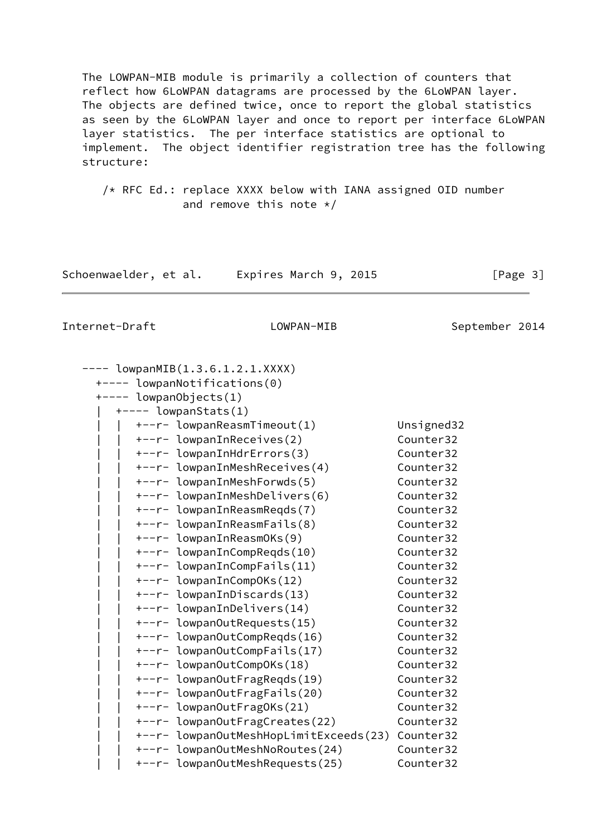The LOWPAN-MIB module is primarily a collection of counters that reflect how 6LoWPAN datagrams are processed by the 6LoWPAN layer. The objects are defined twice, once to report the global statistics as seen by the 6LoWPAN layer and once to report per interface 6LoWPAN layer statistics. The per interface statistics are optional to implement. The object identifier registration tree has the following structure:

 /\* RFC Ed.: replace XXXX below with IANA assigned OID number and remove this note  $*/$ 

Schoenwaelder, et al. Expires March 9, 2015 [Page 3]

| $---$ lowpanMIB(1.3.6.1.2.1.XXXX)      |            |
|----------------------------------------|------------|
| +---- lowpanNotifications(0)           |            |
| +---- lowpanObjects(1)                 |            |
| $+---$ lowpanStats(1)                  |            |
| +--r- lowpanReasmTimeout(1)            | Unsigned32 |
| +--r- lowpanInReceives(2)              | Counter32  |
| +--r- lowpanInHdrErrors(3)             | Counter32  |
| +--r- lowpanInMeshReceives(4)          | Counter32  |
| +--r- lowpanInMeshForwds(5)            | Counter32  |
| +--r- lowpanInMeshDelivers(6)          | Counter32  |
| +--r- lowpanInReasmReqds(7)            | Counter32  |
| +--r- lowpanInReasmFails(8)            | Counter32  |
| +--r- lowpanInReasmOKs(9)              | Counter32  |
| +--r- lowpanInCompReqds(10)            | Counter32  |
| +--r- lowpanInCompFails(11)            | Counter32  |
| +--r- lowpanInCompOKs(12)              | Counter32  |
| +--r- lowpanInDiscards(13)             | Counter32  |
| +--r- lowpanInDelivers(14)             | Counter32  |
| +--r- lowpanOutRequests(15)            | Counter32  |
| +--r- lowpanOutCompReqds(16)           | Counter32  |
| +--r- lowpanOutCompFails(17)           | Counter32  |
| +--r- lowpanOutCompOKs(18)             | Counter32  |
| +--r- lowpanOutFragReqds(19)           | Counter32  |
| +--r- lowpanOutFragFails(20)           | Counter32  |
| +--r- lowpanOutFragOKs(21)             | Counter32  |
| +--r- lowpanOutFragCreates(22)         | Counter32  |
| +--r- lowpanOutMeshHopLimitExceeds(23) | Counter32  |
| +--r- lowpanOutMeshNoRoutes(24)        | Counter32  |
| +--r- lowpanOutMeshRequests(25)        | Counter32  |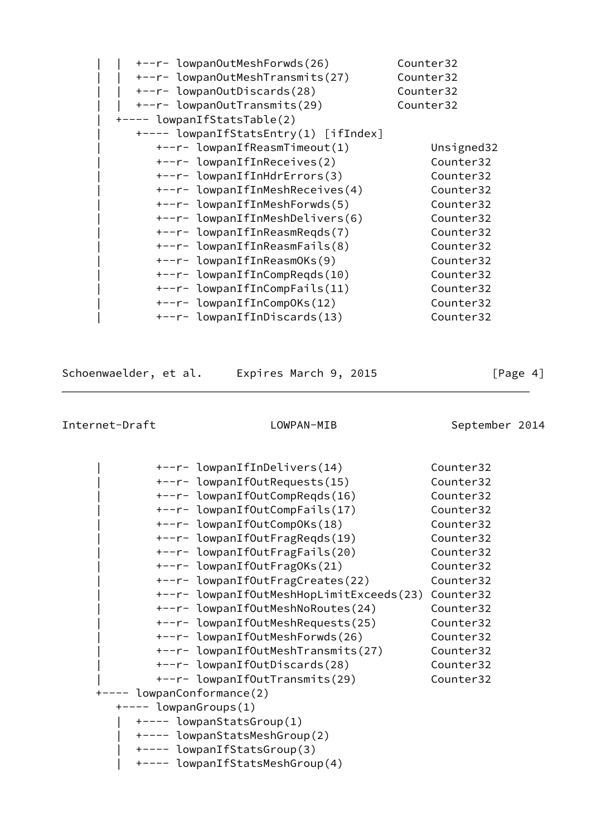| +--r- lowpanOutMeshForwds(26)         | Counter32  |
|---------------------------------------|------------|
| +--r- lowpanOutMeshTransmits(27)      | Counter32  |
| +--r- lowpanOutDiscards(28)           | Counter32  |
| +--r- lowpanOutTransmits(29)          | Counter32  |
| +---- lowpanIfStatsTable(2)           |            |
| +---- lowpanIfStatsEntry(1) [ifIndex] |            |
| +--r- lowpanIfReasmTimeout(1)         | Unsigned32 |
| +--r- lowpanIfInReceives(2)           | Counter32  |
| +--r- lowpanIfInHdrErrors(3)          | Counter32  |
| +--r- lowpanIfInMeshReceives(4)       | Counter32  |
| +--r- lowpanIfInMeshForwds(5)         | Counter32  |
| +--r- lowpanIfInMeshDelivers(6)       | Counter32  |
| +--r- lowpanIfInReasmReqds(7)         | Counter32  |
| +--r- lowpanIfInReasmFails(8)         | Counter32  |
| +--r- lowpanIfInReasmOKs(9)           | Counter32  |
| +--r- lowpanIfInCompRegds(10)         | Counter32  |
| +--r- lowpanIfInCompFails(11)         | Counter32  |
| +--r- lowpanIfInCompOKs(12)           | Counter32  |
| +--r- lowpanIfInDiscards(13)          | Counter32  |

Schoenwaelder, et al. Expires March 9, 2015 [Page 4]

| +--r- lowpanIfInDelivers(14)             | Counter32 |  |  |  |
|------------------------------------------|-----------|--|--|--|
| +--r- lowpanIfOutRequests(15)            | Counter32 |  |  |  |
| +--r- lowpanIfOutCompRegds(16)           | Counter32 |  |  |  |
| +--r- lowpanIfOutCompFails(17)           | Counter32 |  |  |  |
| +--r- lowpanIfOutCompOKs(18)             | Counter32 |  |  |  |
| +--r- lowpanIfOutFragReqds(19)           | Counter32 |  |  |  |
| +--r- lowpanIfOutFragFails(20)           | Counter32 |  |  |  |
| +--r- lowpanIfOutFragOKs(21)             | Counter32 |  |  |  |
| +--r- lowpanIfOutFragCreates(22)         | Counter32 |  |  |  |
| +--r- lowpanIfOutMeshHopLimitExceeds(23) | Counter32 |  |  |  |
| +--r- lowpanIfOutMeshNoRoutes(24)        | Counter32 |  |  |  |
| +--r- lowpanIfOutMeshRequests(25)        | Counter32 |  |  |  |
| +--r- lowpanIfOutMeshForwds(26)          | Counter32 |  |  |  |
| +--r- lowpanIfOutMeshTransmits(27)       | Counter32 |  |  |  |
| +--r- lowpanIfOutDiscards(28)            | Counter32 |  |  |  |
| +--r- lowpanIfOutTransmits(29)           | Counter32 |  |  |  |
| +---- lowpanConformance(2)               |           |  |  |  |
| $+---$ lowpanGroups(1)                   |           |  |  |  |
| +---- lowpanStatsGroup(1)                |           |  |  |  |
| +---- lowpanStatsMeshGroup(2)            |           |  |  |  |
| +---- lowpanIfStatsGroup(3)              |           |  |  |  |
| +---- lowpanIfStatsMeshGroup(4)          |           |  |  |  |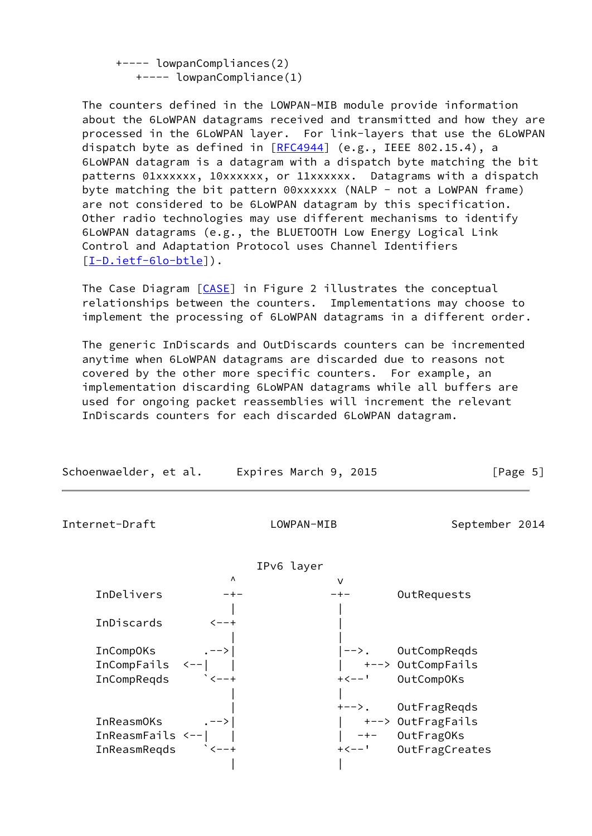+---- lowpanCompliances(2) +---- lowpanCompliance(1)

 The counters defined in the LOWPAN-MIB module provide information about the 6LoWPAN datagrams received and transmitted and how they are processed in the 6LoWPAN layer. For link-layers that use the 6LoWPAN dispatch byte as defined in [\[RFC4944](https://datatracker.ietf.org/doc/pdf/rfc4944)] (e.g., IEEE 802.15.4), a 6LoWPAN datagram is a datagram with a dispatch byte matching the bit patterns 01xxxxxx, 10xxxxxx, or 11xxxxxx. Datagrams with a dispatch byte matching the bit pattern 00xxxxxx (NALP - not a LoWPAN frame) are not considered to be 6LoWPAN datagram by this specification. Other radio technologies may use different mechanisms to identify 6LoWPAN datagrams (e.g., the BLUETOOTH Low Energy Logical Link Control and Adaptation Protocol uses Channel Identifiers [\[I-D.ietf-6lo-btle](#page-29-0)]).

The Case Diagram [\[CASE](#page-29-1)] in Figure 2 illustrates the conceptual relationships between the counters. Implementations may choose to implement the processing of 6LoWPAN datagrams in a different order.

 The generic InDiscards and OutDiscards counters can be incremented anytime when 6LoWPAN datagrams are discarded due to reasons not covered by the other more specific counters. For example, an implementation discarding 6LoWPAN datagrams while all buffers are used for ongoing packet reassemblies will increment the relevant InDiscards counters for each discarded 6LoWPAN datagram.

| Schoenwaelder, et al. | Expires March 9, 2015 | [Page 5] |
|-----------------------|-----------------------|----------|
|-----------------------|-----------------------|----------|

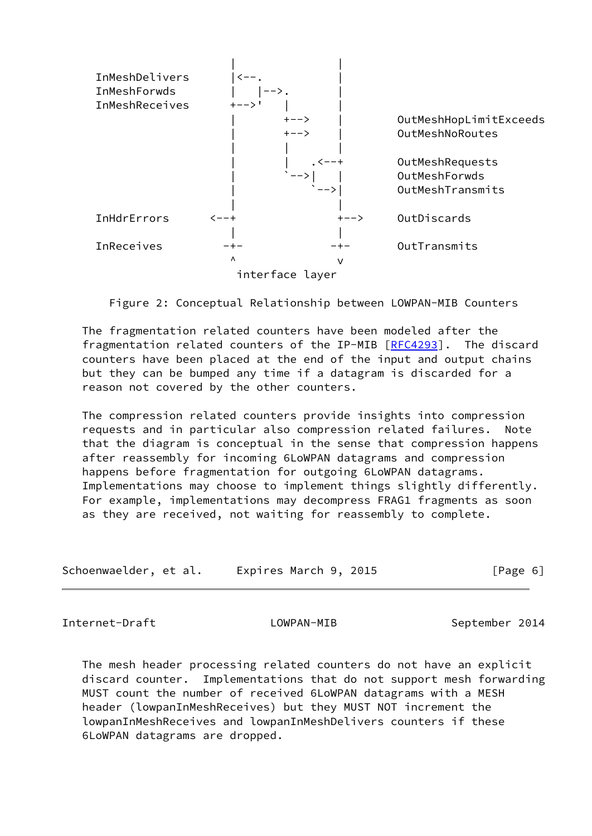

Figure 2: Conceptual Relationship between LOWPAN-MIB Counters

 The fragmentation related counters have been modeled after the fragmentation related counters of the IP-MIB [\[RFC4293](https://datatracker.ietf.org/doc/pdf/rfc4293)]. The discard counters have been placed at the end of the input and output chains but they can be bumped any time if a datagram is discarded for a reason not covered by the other counters.

 The compression related counters provide insights into compression requests and in particular also compression related failures. Note that the diagram is conceptual in the sense that compression happens after reassembly for incoming 6LoWPAN datagrams and compression happens before fragmentation for outgoing 6LoWPAN datagrams. Implementations may choose to implement things slightly differently. For example, implementations may decompress FRAG1 fragments as soon as they are received, not waiting for reassembly to complete.

| Schoenwaelder, et al. | Expires March 9, 2015 | [Page 6] |
|-----------------------|-----------------------|----------|
|-----------------------|-----------------------|----------|

<span id="page-6-0"></span>Internet-Draft LOWPAN-MIB September 2014

 The mesh header processing related counters do not have an explicit discard counter. Implementations that do not support mesh forwarding MUST count the number of received 6LoWPAN datagrams with a MESH header (lowpanInMeshReceives) but they MUST NOT increment the lowpanInMeshReceives and lowpanInMeshDelivers counters if these 6LoWPAN datagrams are dropped.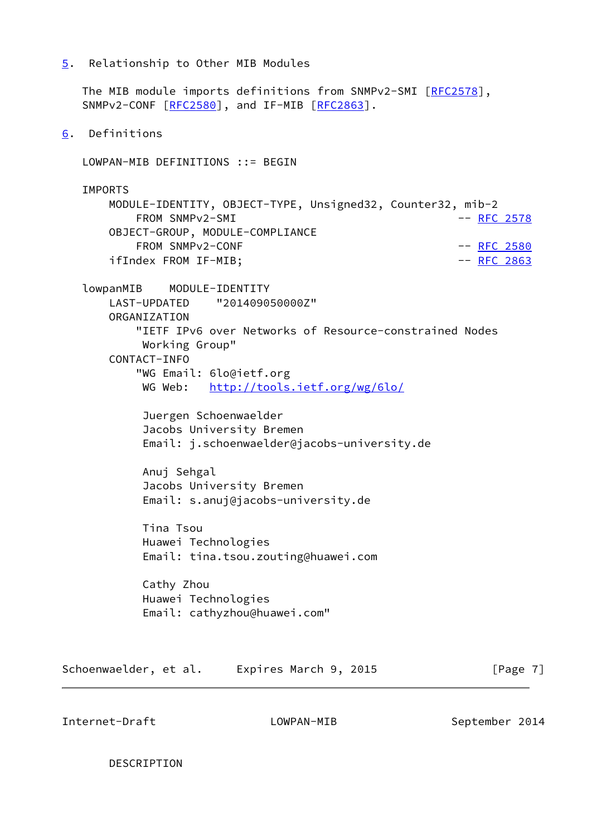<span id="page-7-0"></span>[5](#page-7-0). Relationship to Other MIB Modules

<span id="page-7-1"></span> The MIB module imports definitions from SNMPv2-SMI [[RFC2578\]](https://datatracker.ietf.org/doc/pdf/rfc2578), SNMPv2-CONF [\[RFC2580](https://datatracker.ietf.org/doc/pdf/rfc2580)], and IF-MIB [[RFC2863](https://datatracker.ietf.org/doc/pdf/rfc2863)]. [6](#page-7-1). Definitions LOWPAN-MIB DEFINITIONS ::= BEGIN IMPORTS MODULE-IDENTITY, OBJECT-TYPE, Unsigned32, Counter32, mib-2 FROM SNMPv2-SMI  $-$  [RFC 2578](https://datatracker.ietf.org/doc/pdf/rfc2578) OBJECT-GROUP, MODULE-COMPLIANCE FROM SNMPv2-CONF  $-$  [RFC 2580](https://datatracker.ietf.org/doc/pdf/rfc2580)

ifIndex FROM IF-MIB; example and the control of the control of the control of the control of the control of the control of the control of the control of the control of the control of the control of the control of the contr lowpanMIB MODULE-IDENTITY LAST-UPDATED "201409050000Z" ORGANIZATION "IETF IPv6 over Networks of Resource-constrained Nodes Working Group" CONTACT-INFO "WG Email: 6lo@ietf.org WG Web: <http://tools.ietf.org/wg/6lo/>

> Juergen Schoenwaelder Jacobs University Bremen Email: j.schoenwaelder@jacobs-university.de

 Anuj Sehgal Jacobs University Bremen Email: s.anuj@jacobs-university.de

 Tina Tsou Huawei Technologies Email: tina.tsou.zouting@huawei.com

 Cathy Zhou Huawei Technologies Email: cathyzhou@huawei.com"

Schoenwaelder, et al. Expires March 9, 2015 [Page 7]

Internet-Draft LOWPAN-MIB September 2014

DESCRIPTION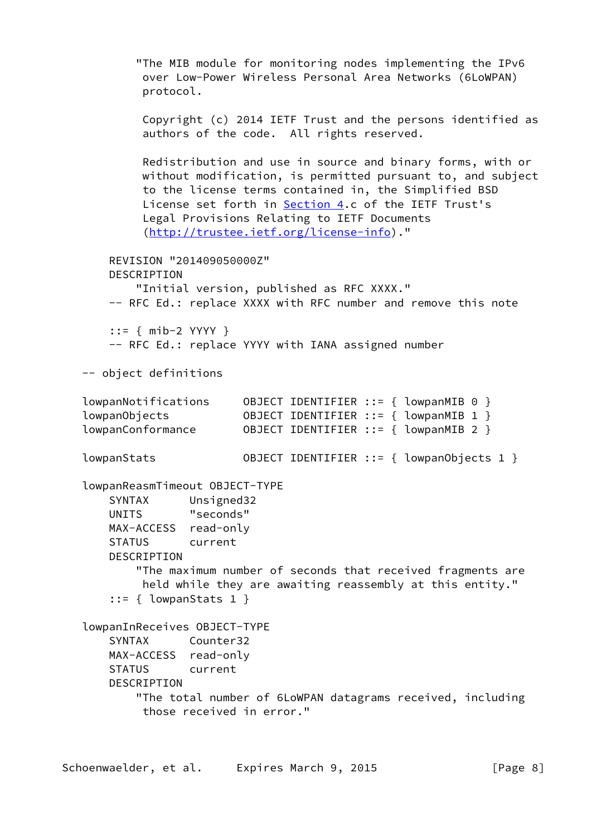"The MIB module for monitoring nodes implementing the IPv6 over Low-Power Wireless Personal Area Networks (6LoWPAN) protocol. Copyright (c) 2014 IETF Trust and the persons identified as authors of the code. All rights reserved. Redistribution and use in source and binary forms, with or without modification, is permitted pursuant to, and subject to the license terms contained in, the Simplified BSD License set forth in [Section 4.](#page-2-2)c of the IETF Trust's Legal Provisions Relating to IETF Documents [\(http://trustee.ietf.org/license-info](http://trustee.ietf.org/license-info))." REVISION "201409050000Z" DESCRIPTION "Initial version, published as RFC XXXX." -- RFC Ed.: replace XXXX with RFC number and remove this note ::= { mib-2 YYYY } -- RFC Ed.: replace YYYY with IANA assigned number -- object definitions lowpanNotifications OBJECT IDENTIFIER ::= { lowpanMIB 0 } lowpanObjects OBJECT IDENTIFIER ::= { lowpanMIB 1 } lowpanConformance OBJECT IDENTIFIER ::= { lowpanMIB 2 } lowpanStats OBJECT IDENTIFIER ::= { lowpanObjects 1 } lowpanReasmTimeout OBJECT-TYPE SYNTAX Unsigned32 UNITS "seconds" MAX-ACCESS read-only STATUS current DESCRIPTION "The maximum number of seconds that received fragments are held while they are awaiting reassembly at this entity." ::= { lowpanStats 1 } lowpanInReceives OBJECT-TYPE SYNTAX Counter32 MAX-ACCESS read-only STATUS current DESCRIPTION "The total number of 6LoWPAN datagrams received, including those received in error."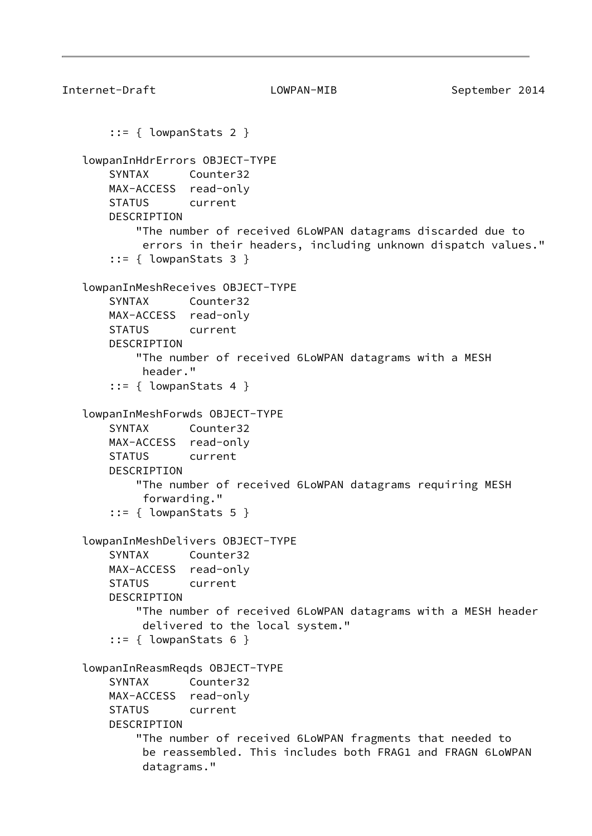```
Internet-Draft LOWPAN-MIB September 2014
        ::= { lowpanStats 2 }
    lowpanInHdrErrors OBJECT-TYPE
       SYNTAX Counter32
       MAX-ACCESS read-only
       STATUS current
       DESCRIPTION
           "The number of received 6LoWPAN datagrams discarded due to
            errors in their headers, including unknown dispatch values."
        ::= { lowpanStats 3 }
    lowpanInMeshReceives OBJECT-TYPE
       SYNTAX Counter32
       MAX-ACCESS read-only
       STATUS current
       DESCRIPTION
           "The number of received 6LoWPAN datagrams with a MESH
            header."
       ::= { lowpanStats 4 }
    lowpanInMeshForwds OBJECT-TYPE
       SYNTAX Counter32
       MAX-ACCESS read-only
       STATUS current
       DESCRIPTION
           "The number of received 6LoWPAN datagrams requiring MESH
            forwarding."
        ::= { lowpanStats 5 }
    lowpanInMeshDelivers OBJECT-TYPE
       SYNTAX Counter32
       MAX-ACCESS read-only
       STATUS current
       DESCRIPTION
           "The number of received 6LoWPAN datagrams with a MESH header
            delivered to the local system."
        ::= { lowpanStats 6 }
    lowpanInReasmReqds OBJECT-TYPE
       SYNTAX Counter32
       MAX-ACCESS read-only
       STATUS current
       DESCRIPTION
           "The number of received 6LoWPAN fragments that needed to
            be reassembled. This includes both FRAG1 and FRAGN 6LoWPAN
            datagrams."
```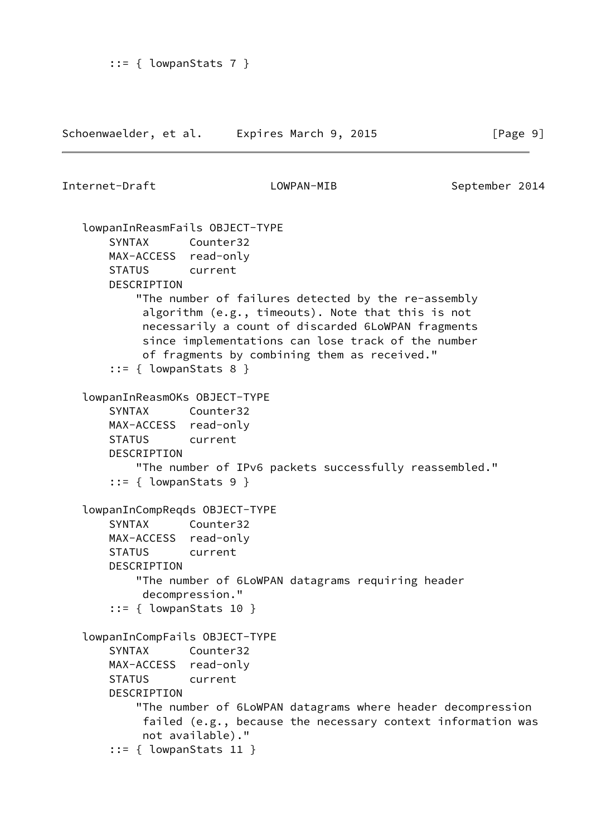Schoenwaelder, et al. Expires March 9, 2015 [Page 9]

```
Internet-Draft LOWPAN-MIB September 2014
    lowpanInReasmFails OBJECT-TYPE
       SYNTAX Counter32
       MAX-ACCESS read-only
       STATUS current
       DESCRIPTION
           "The number of failures detected by the re-assembly
            algorithm (e.g., timeouts). Note that this is not
            necessarily a count of discarded 6LoWPAN fragments
            since implementations can lose track of the number
            of fragments by combining them as received."
       ::= { lowpanStats 8 }
    lowpanInReasmOKs OBJECT-TYPE
       SYNTAX Counter32
       MAX-ACCESS read-only
       STATUS current
       DESCRIPTION
           "The number of IPv6 packets successfully reassembled."
        ::= { lowpanStats 9 }
    lowpanInCompReqds OBJECT-TYPE
       SYNTAX Counter32
       MAX-ACCESS read-only
       STATUS current
       DESCRIPTION
           "The number of 6LoWPAN datagrams requiring header
            decompression."
        ::= { lowpanStats 10 }
    lowpanInCompFails OBJECT-TYPE
       SYNTAX Counter32
       MAX-ACCESS read-only
       STATUS current
       DESCRIPTION
           "The number of 6LoWPAN datagrams where header decompression
            failed (e.g., because the necessary context information was
            not available)."
        ::= { lowpanStats 11 }
```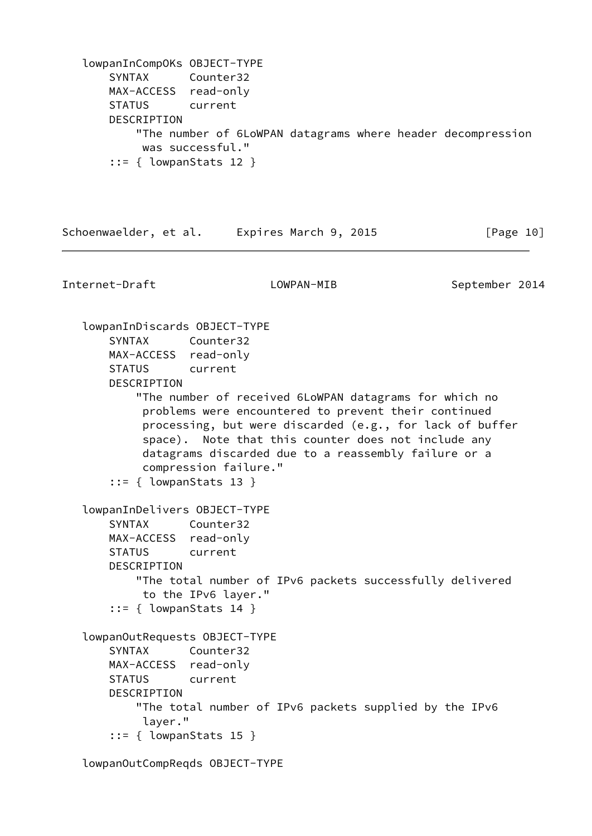```
 lowpanInCompOKs OBJECT-TYPE
    SYNTAX Counter32
    MAX-ACCESS read-only
    STATUS current
    DESCRIPTION
         "The number of 6LoWPAN datagrams where header decompression
         was successful."
     ::= { lowpanStats 12 }
```
Schoenwaelder, et al. Expires March 9, 2015 [Page 10]

Internet-Draft LOWPAN-MIB September 2014

 lowpanInDiscards OBJECT-TYPE SYNTAX Counter32 MAX-ACCESS read-only STATUS current DESCRIPTION "The number of received 6LoWPAN datagrams for which no problems were encountered to prevent their continued processing, but were discarded (e.g., for lack of buffer space). Note that this counter does not include any datagrams discarded due to a reassembly failure or a compression failure." ::= { lowpanStats 13 } lowpanInDelivers OBJECT-TYPE SYNTAX Counter32 MAX-ACCESS read-only STATUS current DESCRIPTION "The total number of IPv6 packets successfully delivered to the IPv6 layer." ::= { lowpanStats 14 } lowpanOutRequests OBJECT-TYPE SYNTAX Counter32 MAX-ACCESS read-only STATUS current DESCRIPTION "The total number of IPv6 packets supplied by the IPv6 layer." ::= { lowpanStats 15 }

lowpanOutCompReqds OBJECT-TYPE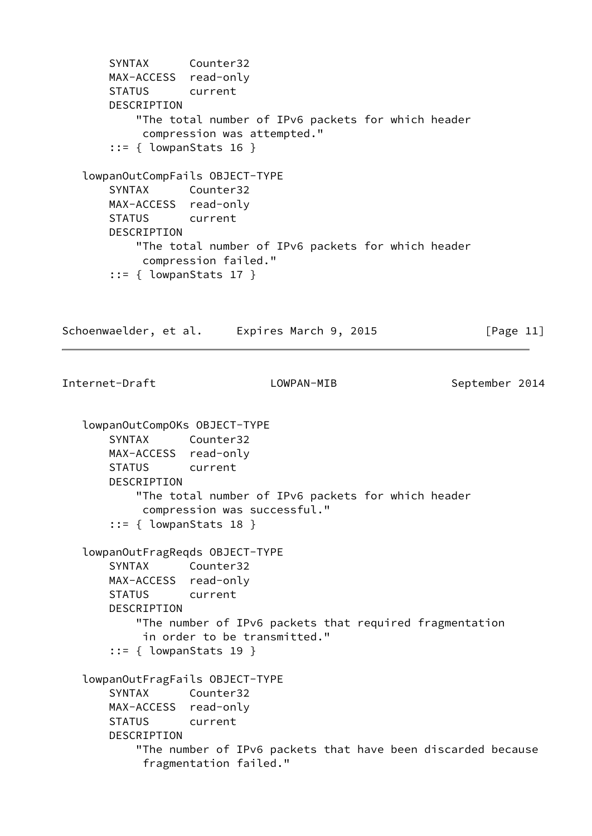```
 SYNTAX Counter32
       MAX-ACCESS read-only
       STATUS current
       DESCRIPTION
           "The total number of IPv6 packets for which header
            compression was attempted."
       ::= { lowpanStats 16 }
   lowpanOutCompFails OBJECT-TYPE
       SYNTAX Counter32
       MAX-ACCESS read-only
       STATUS current
       DESCRIPTION
           "The total number of IPv6 packets for which header
            compression failed."
       ::= { lowpanStats 17 }
Schoenwaelder, et al. Expires March 9, 2015 [Page 11]
Internet-Draft LOWPAN-MIB September 2014
   lowpanOutCompOKs OBJECT-TYPE
       SYNTAX Counter32
       MAX-ACCESS read-only
       STATUS current
       DESCRIPTION
           "The total number of IPv6 packets for which header
            compression was successful."
       ::= { lowpanStats 18 }
   lowpanOutFragReqds OBJECT-TYPE
       SYNTAX Counter32
       MAX-ACCESS read-only
       STATUS current
       DESCRIPTION
           "The number of IPv6 packets that required fragmentation
            in order to be transmitted."
       ::= { lowpanStats 19 }
   lowpanOutFragFails OBJECT-TYPE
       SYNTAX Counter32
       MAX-ACCESS read-only
       STATUS current
       DESCRIPTION
           "The number of IPv6 packets that have been discarded because
            fragmentation failed."
```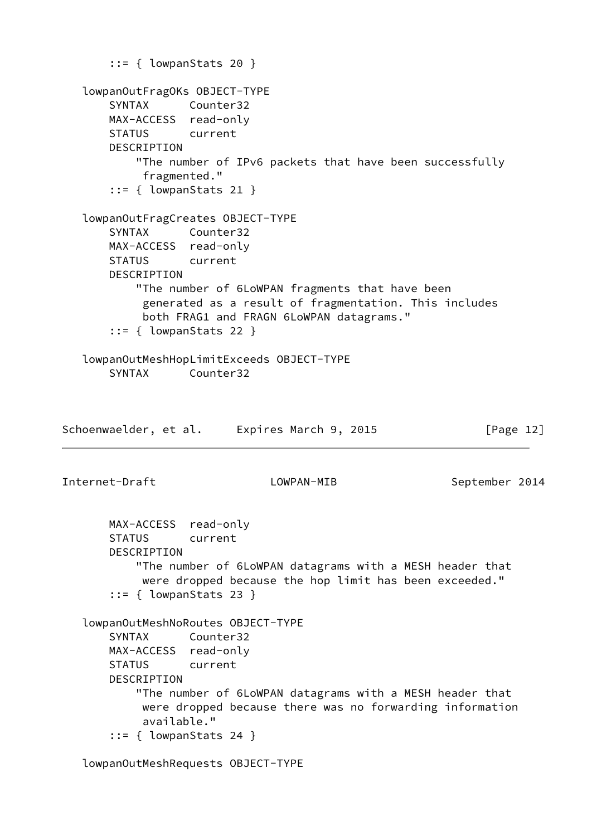```
::= { lowpanStats 20 }
    lowpanOutFragOKs OBJECT-TYPE
       SYNTAX Counter32
       MAX-ACCESS read-only
       STATUS current
       DESCRIPTION
           "The number of IPv6 packets that have been successfully
            fragmented."
        ::= { lowpanStats 21 }
    lowpanOutFragCreates OBJECT-TYPE
       SYNTAX Counter32
       MAX-ACCESS read-only
       STATUS current
       DESCRIPTION
           "The number of 6LoWPAN fragments that have been
            generated as a result of fragmentation. This includes
            both FRAG1 and FRAGN 6LoWPAN datagrams."
        ::= { lowpanStats 22 }
    lowpanOutMeshHopLimitExceeds OBJECT-TYPE
       SYNTAX Counter32
Schoenwaelder, et al. Expires March 9, 2015 [Page 12]
Internet-Draft             LOWPAN-MIB         September 2014
       MAX-ACCESS read-only
       STATUS current
       DESCRIPTION
           "The number of 6LoWPAN datagrams with a MESH header that
            were dropped because the hop limit has been exceeded."
        ::= { lowpanStats 23 }
    lowpanOutMeshNoRoutes OBJECT-TYPE
       SYNTAX Counter32
       MAX-ACCESS read-only
       STATUS current
       DESCRIPTION
           "The number of 6LoWPAN datagrams with a MESH header that
            were dropped because there was no forwarding information
            available."
        ::= { lowpanStats 24 }
```
lowpanOutMeshRequests OBJECT-TYPE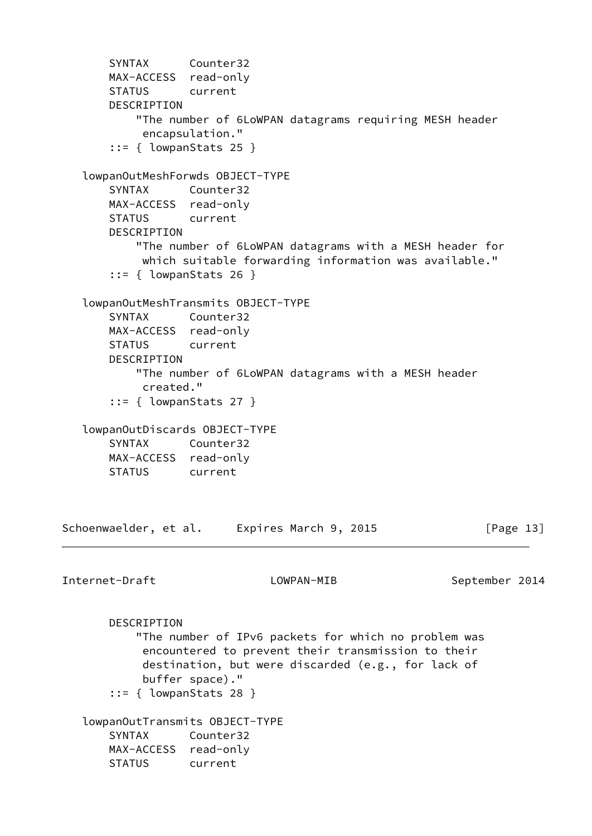```
 SYNTAX Counter32
       MAX-ACCESS read-only
       STATUS current
       DESCRIPTION
           "The number of 6LoWPAN datagrams requiring MESH header
            encapsulation."
       ::= { lowpanStats 25 }
   lowpanOutMeshForwds OBJECT-TYPE
       SYNTAX Counter32
       MAX-ACCESS read-only
       STATUS current
       DESCRIPTION
           "The number of 6LoWPAN datagrams with a MESH header for
            which suitable forwarding information was available."
       ::= { lowpanStats 26 }
   lowpanOutMeshTransmits OBJECT-TYPE
       SYNTAX Counter32
       MAX-ACCESS read-only
       STATUS current
       DESCRIPTION
           "The number of 6LoWPAN datagrams with a MESH header
            created."
       ::= { lowpanStats 27 }
   lowpanOutDiscards OBJECT-TYPE
       SYNTAX Counter32
       MAX-ACCESS read-only
       STATUS current
Schoenwaelder, et al. Expires March 9, 2015 [Page 13]
Internet-Draft LOWPAN-MIB September 2014
       DESCRIPTION
           "The number of IPv6 packets for which no problem was
            encountered to prevent their transmission to their
            destination, but were discarded (e.g., for lack of
            buffer space)."
       ::= { lowpanStats 28 }
   lowpanOutTransmits OBJECT-TYPE
       SYNTAX Counter32
       MAX-ACCESS read-only
       STATUS current
```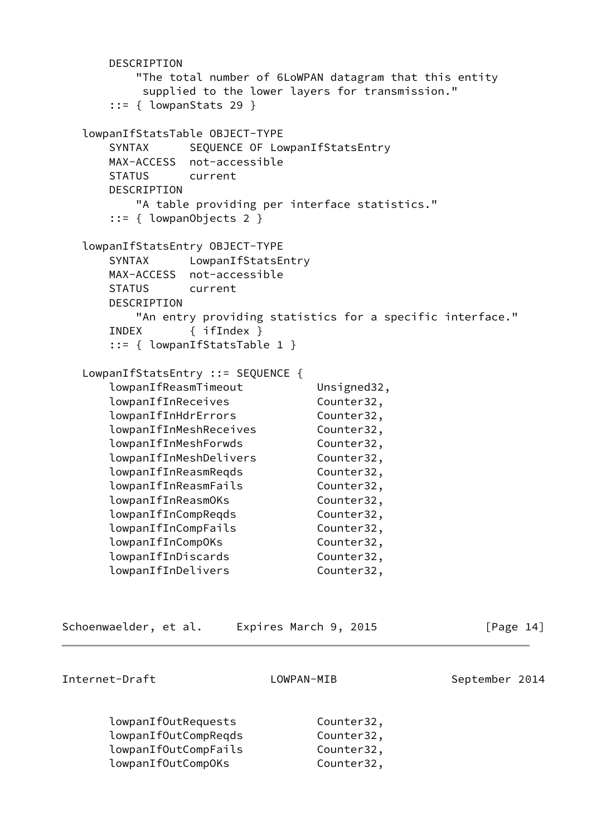```
 DESCRIPTION
        "The total number of 6LoWPAN datagram that this entity
        supplied to the lower layers for transmission."
    ::= { lowpanStats 29 }
 lowpanIfStatsTable OBJECT-TYPE
   SYNTAX SEQUENCE OF LowpanIfStatsEntry
    MAX-ACCESS not-accessible
    STATUS current
    DESCRIPTION
        "A table providing per interface statistics."
    ::= { lowpanObjects 2 }
 lowpanIfStatsEntry OBJECT-TYPE
    SYNTAX LowpanIfStatsEntry
    MAX-ACCESS not-accessible
    STATUS current
    DESCRIPTION
        "An entry providing statistics for a specific interface."
    INDEX { ifIndex }
    ::= { lowpanIfStatsTable 1 }
 LowpanIfStatsEntry ::= SEQUENCE {
   lowpanIfReasmTimeout Unsigned32,
   lowpanIfInReceives Counter32,
    lowpanIfInHdrErrors Counter32,
    lowpanIfInMeshReceives Counter32,
   lowpanIfInMeshForwds Counter32,
    lowpanIfInMeshDelivers Counter32,
   lowpanIfInReasmReqds Counter32,
    lowpanIfInReasmFails Counter32,
    lowpanIfInReasmOKs Counter32,
   lowpanIfInCompReqds Counter32,
    lowpanIfInCompFails Counter32,
    lowpanIfInCompOKs Counter32,
    lowpanIfInDiscards Counter32,
   lowpanIfInDelivers Counter32,
```
Schoenwaelder, et al. Expires March 9, 2015 [Page 14]

```
Internet-Draft LOWPAN-MIB September 2014
```
 lowpanIfOutRequests Counter32, lowpanIfOutCompRegds Counter32, lowpanIfOutCompFails Counter32, lowpanIfOutCompOKs Counter32,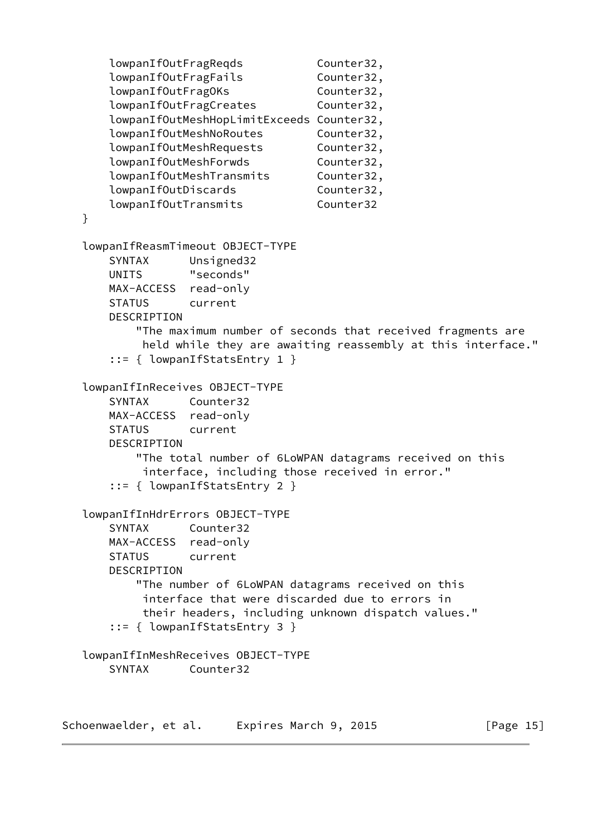```
lowpanIfOutFragReqds Counter32,
    lowpanIfOutFragFails Counter32,
   lowpanIfOutFragOKs Counter32,
   lowpanIfOutFragCreates Counter32,
    lowpanIfOutMeshHopLimitExceeds Counter32,
   lowpanIfOutMeshNoRoutes Counter32,
   lowpanIfOutMeshRequests Counter32,
   lowpanIfOutMeshForwds Counter32,
    lowpanIfOutMeshTransmits Counter32,
   lowpanIfOutDiscards Counter32,
    lowpanIfOutTransmits Counter32
 }
 lowpanIfReasmTimeout OBJECT-TYPE
    SYNTAX Unsigned32
    UNITS "seconds"
    MAX-ACCESS read-only
    STATUS current
    DESCRIPTION
        "The maximum number of seconds that received fragments are
         held while they are awaiting reassembly at this interface."
    ::= { lowpanIfStatsEntry 1 }
 lowpanIfInReceives OBJECT-TYPE
    SYNTAX Counter32
    MAX-ACCESS read-only
    STATUS current
    DESCRIPTION
        "The total number of 6LoWPAN datagrams received on this
         interface, including those received in error."
    ::= { lowpanIfStatsEntry 2 }
 lowpanIfInHdrErrors OBJECT-TYPE
    SYNTAX Counter32
    MAX-ACCESS read-only
    STATUS current
    DESCRIPTION
        "The number of 6LoWPAN datagrams received on this
         interface that were discarded due to errors in
         their headers, including unknown dispatch values."
    ::= { lowpanIfStatsEntry 3 }
 lowpanIfInMeshReceives OBJECT-TYPE
    SYNTAX Counter32
```
Schoenwaelder, et al. Expires March 9, 2015 [Page 15]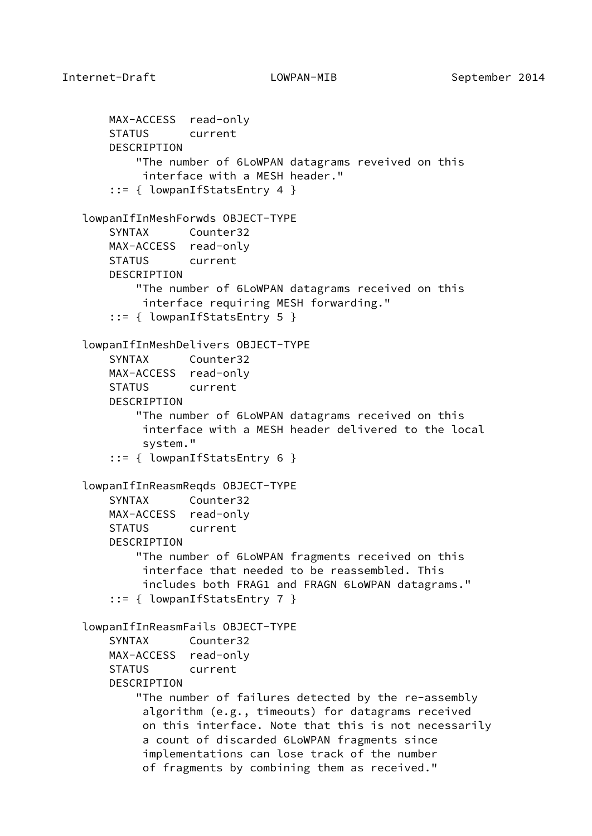```
 MAX-ACCESS read-only
    STATUS current
    DESCRIPTION
         "The number of 6LoWPAN datagrams reveived on this
          interface with a MESH header."
     ::= { lowpanIfStatsEntry 4 }
 lowpanIfInMeshForwds OBJECT-TYPE
    SYNTAX Counter32
    MAX-ACCESS read-only
    STATUS current
    DESCRIPTION
         "The number of 6LoWPAN datagrams received on this
          interface requiring MESH forwarding."
     ::= { lowpanIfStatsEntry 5 }
 lowpanIfInMeshDelivers OBJECT-TYPE
    SYNTAX Counter32
    MAX-ACCESS read-only
    STATUS current
    DESCRIPTION
         "The number of 6LoWPAN datagrams received on this
          interface with a MESH header delivered to the local
          system."
     ::= { lowpanIfStatsEntry 6 }
 lowpanIfInReasmReqds OBJECT-TYPE
    SYNTAX Counter32
    MAX-ACCESS read-only
    STATUS current
    DESCRIPTION
         "The number of 6LoWPAN fragments received on this
          interface that needed to be reassembled. This
          includes both FRAG1 and FRAGN 6LoWPAN datagrams."
     ::= { lowpanIfStatsEntry 7 }
 lowpanIfInReasmFails OBJECT-TYPE
    SYNTAX Counter32
    MAX-ACCESS read-only
    STATUS current
   DESCRIPTION
         "The number of failures detected by the re-assembly
          algorithm (e.g., timeouts) for datagrams received
          on this interface. Note that this is not necessarily
          a count of discarded 6LoWPAN fragments since
          implementations can lose track of the number
          of fragments by combining them as received."
```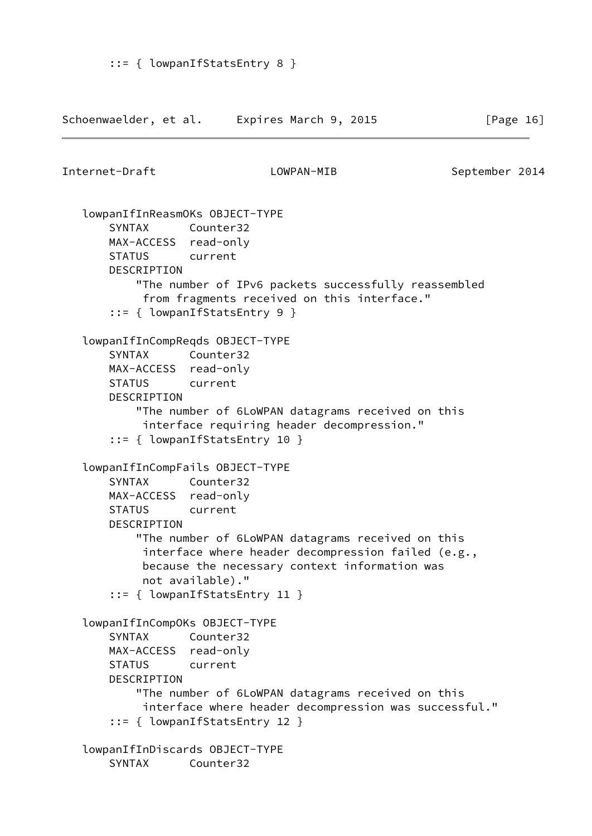```
Schoenwaelder, et al.    Expires March 9, 2015 [Page 16]
Internet-Draft LOWPAN-MIB September 2014
    lowpanIfInReasmOKs OBJECT-TYPE
       SYNTAX Counter32
       MAX-ACCESS read-only
       STATUS current
       DESCRIPTION
           "The number of IPv6 packets successfully reassembled
            from fragments received on this interface."
       ::= { lowpanIfStatsEntry 9 }
    lowpanIfInCompReqds OBJECT-TYPE
       SYNTAX Counter32
       MAX-ACCESS read-only
       STATUS current
       DESCRIPTION
           "The number of 6LoWPAN datagrams received on this
            interface requiring header decompression."
       ::= { lowpanIfStatsEntry 10 }
    lowpanIfInCompFails OBJECT-TYPE
       SYNTAX Counter32
       MAX-ACCESS read-only
       STATUS current
       DESCRIPTION
           "The number of 6LoWPAN datagrams received on this
            interface where header decompression failed (e.g.,
            because the necessary context information was
            not available)."
       ::= { lowpanIfStatsEntry 11 }
    lowpanIfInCompOKs OBJECT-TYPE
       SYNTAX Counter32
       MAX-ACCESS read-only
       STATUS current
       DESCRIPTION
           "The number of 6LoWPAN datagrams received on this
            interface where header decompression was successful."
       ::= { lowpanIfStatsEntry 12 }
    lowpanIfInDiscards OBJECT-TYPE
       SYNTAX Counter32
```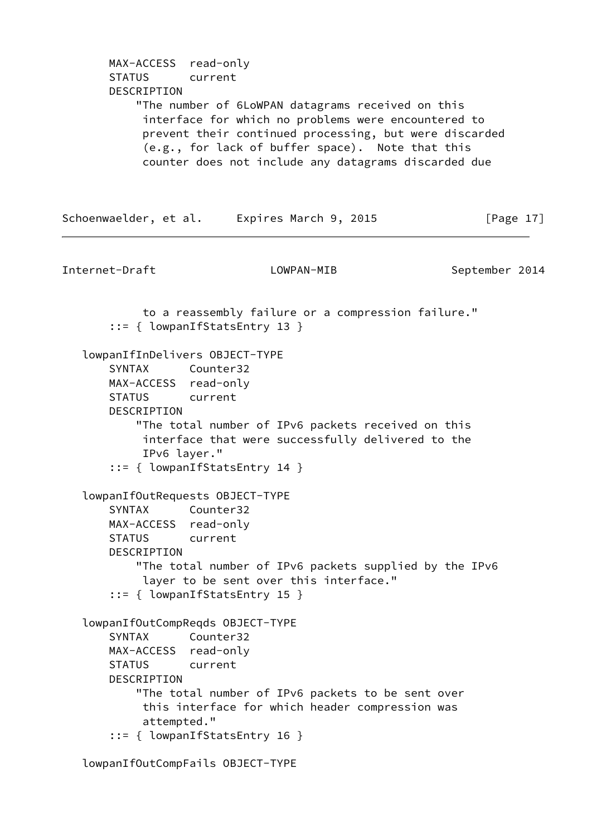```
 MAX-ACCESS read-only
       STATUS current
       DESCRIPTION
           "The number of 6LoWPAN datagrams received on this
            interface for which no problems were encountered to
            prevent their continued processing, but were discarded
            (e.g., for lack of buffer space). Note that this
            counter does not include any datagrams discarded due
Schoenwaelder, et al. Expires March 9, 2015 [Page 17]
Internet-Draft LOWPAN-MIB September 2014
            to a reassembly failure or a compression failure."
        ::= { lowpanIfStatsEntry 13 }
    lowpanIfInDelivers OBJECT-TYPE
       SYNTAX Counter32
       MAX-ACCESS read-only
       STATUS current
       DESCRIPTION
           "The total number of IPv6 packets received on this
            interface that were successfully delivered to the
            IPv6 layer."
        ::= { lowpanIfStatsEntry 14 }
    lowpanIfOutRequests OBJECT-TYPE
       SYNTAX Counter32
       MAX-ACCESS read-only
       STATUS current
       DESCRIPTION
           "The total number of IPv6 packets supplied by the IPv6
            layer to be sent over this interface."
        ::= { lowpanIfStatsEntry 15 }
    lowpanIfOutCompReqds OBJECT-TYPE
       SYNTAX Counter32
       MAX-ACCESS read-only
       STATUS current
       DESCRIPTION
           "The total number of IPv6 packets to be sent over
            this interface for which header compression was
            attempted."
        ::= { lowpanIfStatsEntry 16 }
```
lowpanIfOutCompFails OBJECT-TYPE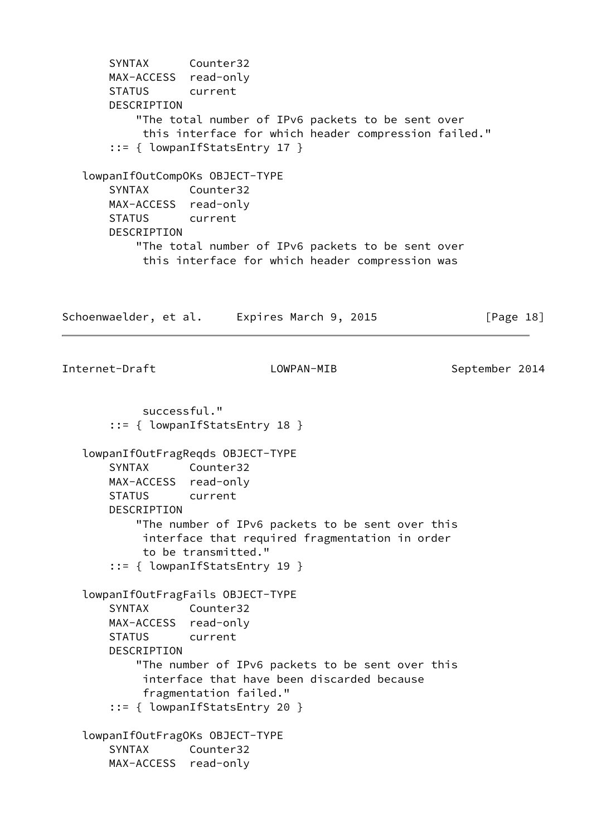SYNTAX Counter32 MAX-ACCESS read-only STATUS current DESCRIPTION "The total number of IPv6 packets to be sent over this interface for which header compression failed." ::= { lowpanIfStatsEntry 17 } lowpanIfOutCompOKs OBJECT-TYPE SYNTAX Counter32 MAX-ACCESS read-only STATUS current DESCRIPTION "The total number of IPv6 packets to be sent over this interface for which header compression was Schoenwaelder, et al. Expires March 9, 2015 [Page 18] Internet-Draft LOWPAN-MIB September 2014 successful." ::= { lowpanIfStatsEntry 18 } lowpanIfOutFragReqds OBJECT-TYPE SYNTAX Counter32 MAX-ACCESS read-only STATUS current DESCRIPTION "The number of IPv6 packets to be sent over this interface that required fragmentation in order to be transmitted." ::= { lowpanIfStatsEntry 19 } lowpanIfOutFragFails OBJECT-TYPE SYNTAX Counter32 MAX-ACCESS read-only STATUS current DESCRIPTION "The number of IPv6 packets to be sent over this interface that have been discarded because fragmentation failed." ::= { lowpanIfStatsEntry 20 } lowpanIfOutFragOKs OBJECT-TYPE SYNTAX Counter32 MAX-ACCESS read-only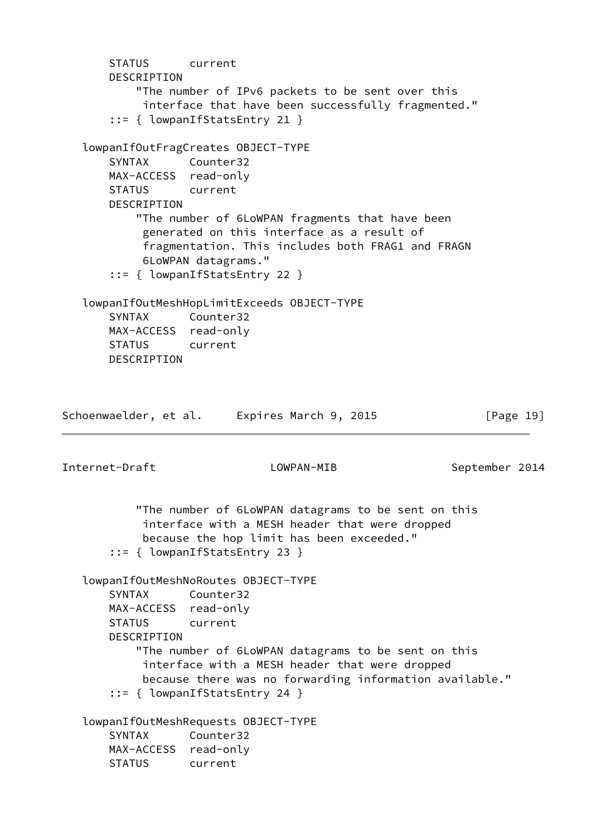```
 STATUS current
       DESCRIPTION
           "The number of IPv6 packets to be sent over this
            interface that have been successfully fragmented."
       ::= { lowpanIfStatsEntry 21 }
    lowpanIfOutFragCreates OBJECT-TYPE
       SYNTAX Counter32
       MAX-ACCESS read-only
       STATUS current
       DESCRIPTION
           "The number of 6LoWPAN fragments that have been
            generated on this interface as a result of
            fragmentation. This includes both FRAG1 and FRAGN
            6LoWPAN datagrams."
       ::= { lowpanIfStatsEntry 22 }
    lowpanIfOutMeshHopLimitExceeds OBJECT-TYPE
       SYNTAX Counter32
       MAX-ACCESS read-only
       STATUS current
       DESCRIPTION
Schoenwaelder, et al. Expires March 9, 2015 [Page 19]
Internet-Draft LOWPAN-MIB September 2014
           "The number of 6LoWPAN datagrams to be sent on this
            interface with a MESH header that were dropped
            because the hop limit has been exceeded."
       ::= { lowpanIfStatsEntry 23 }
    lowpanIfOutMeshNoRoutes OBJECT-TYPE
       SYNTAX Counter32
       MAX-ACCESS read-only
       STATUS current
       DESCRIPTION
           "The number of 6LoWPAN datagrams to be sent on this
            interface with a MESH header that were dropped
            because there was no forwarding information available."
       ::= { lowpanIfStatsEntry 24 }
    lowpanIfOutMeshRequests OBJECT-TYPE
       SYNTAX Counter32
       MAX-ACCESS read-only
       STATUS current
```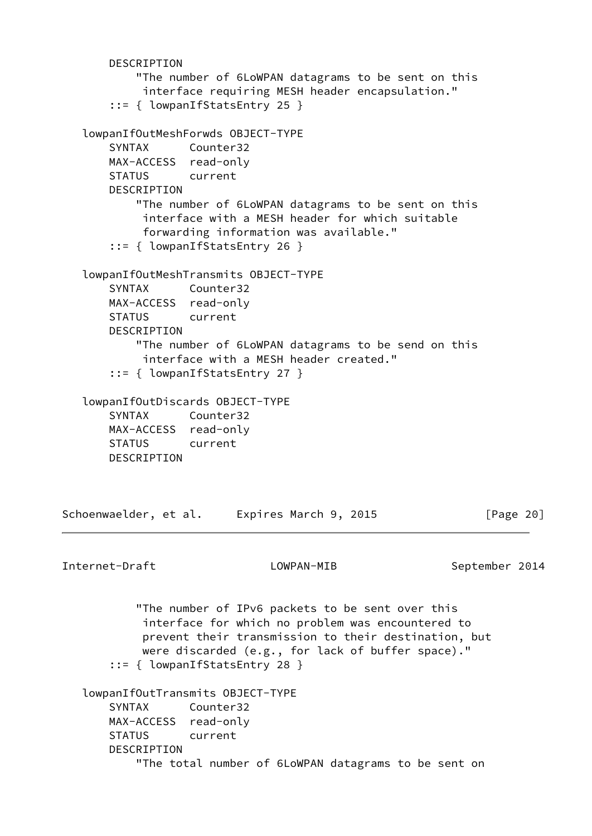```
 DESCRIPTION
           "The number of 6LoWPAN datagrams to be sent on this
            interface requiring MESH header encapsulation."
       ::= { lowpanIfStatsEntry 25 }
   lowpanIfOutMeshForwds OBJECT-TYPE
       SYNTAX Counter32
       MAX-ACCESS read-only
       STATUS current
      DESCRIPTION
           "The number of 6LoWPAN datagrams to be sent on this
            interface with a MESH header for which suitable
            forwarding information was available."
       ::= { lowpanIfStatsEntry 26 }
   lowpanIfOutMeshTransmits OBJECT-TYPE
       SYNTAX Counter32
       MAX-ACCESS read-only
       STATUS current
       DESCRIPTION
           "The number of 6LoWPAN datagrams to be send on this
            interface with a MESH header created."
       ::= { lowpanIfStatsEntry 27 }
   lowpanIfOutDiscards OBJECT-TYPE
       SYNTAX Counter32
       MAX-ACCESS read-only
       STATUS current
       DESCRIPTION
Schoenwaelder, et al. Expires March 9, 2015 [Page 20]
Internet-Draft LOWPAN-MIB September 2014
           "The number of IPv6 packets to be sent over this
            interface for which no problem was encountered to
            prevent their transmission to their destination, but
            were discarded (e.g., for lack of buffer space)."
       ::= { lowpanIfStatsEntry 28 }
   lowpanIfOutTransmits OBJECT-TYPE
       SYNTAX Counter32
       MAX-ACCESS read-only
       STATUS current
       DESCRIPTION
           "The total number of 6LoWPAN datagrams to be sent on
```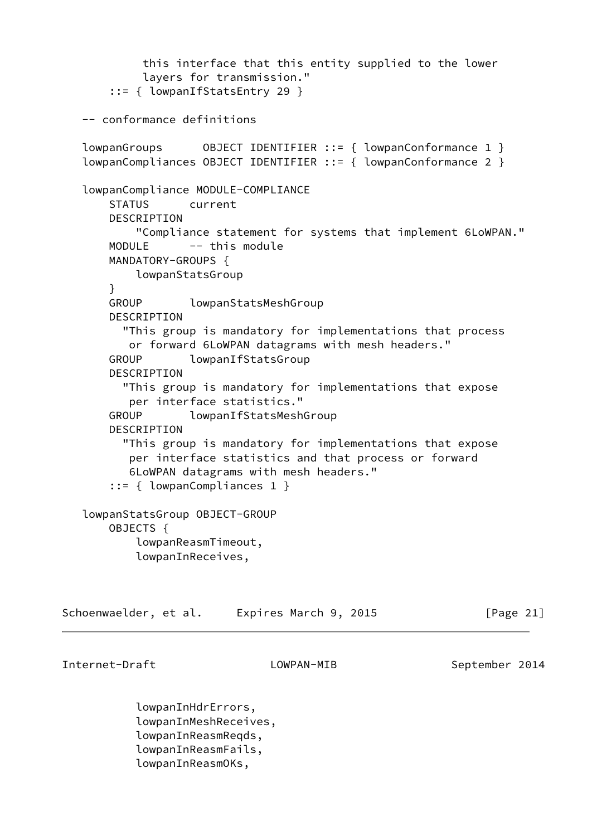```
 this interface that this entity supplied to the lower
            layers for transmission."
        ::= { lowpanIfStatsEntry 29 }
   -- conformance definitions
   lowpanGroups 0BJECT IDENTIFIER ::= { lowpanConformance 1 }
    lowpanCompliances OBJECT IDENTIFIER ::= { lowpanConformance 2 }
    lowpanCompliance MODULE-COMPLIANCE
       STATUS current
       DESCRIPTION
           "Compliance statement for systems that implement 6LoWPAN."
      MODULE -- this module
       MANDATORY-GROUPS {
           lowpanStatsGroup
       }
       GROUP lowpanStatsMeshGroup
       DESCRIPTION
         "This group is mandatory for implementations that process
          or forward 6LoWPAN datagrams with mesh headers."
       GROUP lowpanIfStatsGroup
       DESCRIPTION
         "This group is mandatory for implementations that expose
          per interface statistics."
       GROUP lowpanIfStatsMeshGroup
       DESCRIPTION
         "This group is mandatory for implementations that expose
          per interface statistics and that process or forward
          6LoWPAN datagrams with mesh headers."
        ::= { lowpanCompliances 1 }
    lowpanStatsGroup OBJECT-GROUP
       OBJECTS {
           lowpanReasmTimeout,
           lowpanInReceives,
Schoenwaelder, et al.    Expires March 9, 2015 [Page 21]
Internet-Draft LOWPAN-MIB September 2014
           lowpanInHdrErrors,
           lowpanInMeshReceives,
```
 lowpanInReasmReqds, lowpanInReasmFails,

lowpanInReasmOKs,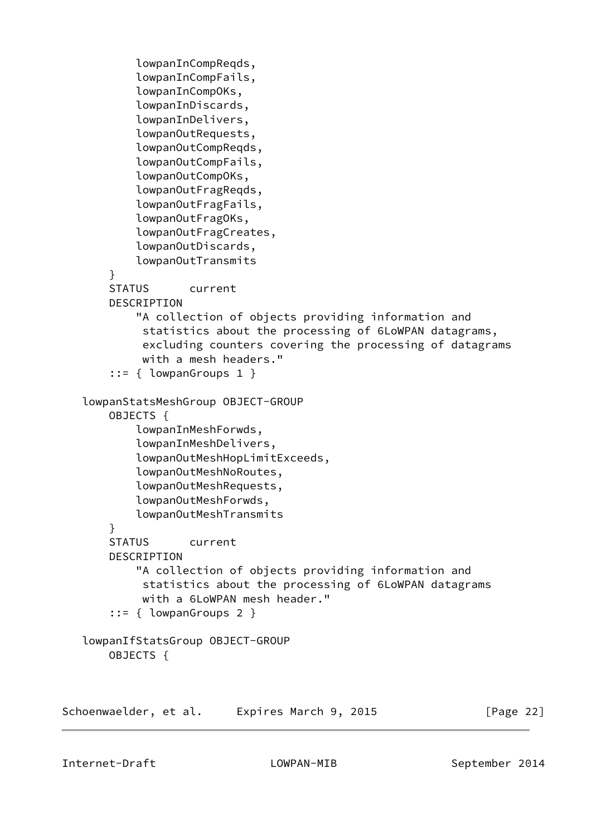```
 lowpanInCompReqds,
            lowpanInCompFails,
            lowpanInCompOKs,
            lowpanInDiscards,
            lowpanInDelivers,
            lowpanOutRequests,
            lowpanOutCompReqds,
            lowpanOutCompFails,
            lowpanOutCompOKs,
            lowpanOutFragReqds,
            lowpanOutFragFails,
            lowpanOutFragOKs,
            lowpanOutFragCreates,
            lowpanOutDiscards,
            lowpanOutTransmits
        }
        STATUS current
        DESCRIPTION
            "A collection of objects providing information and
             statistics about the processing of 6LoWPAN datagrams,
             excluding counters covering the processing of datagrams
             with a mesh headers."
        ::= { lowpanGroups 1 }
    lowpanStatsMeshGroup OBJECT-GROUP
        OBJECTS {
            lowpanInMeshForwds,
            lowpanInMeshDelivers,
            lowpanOutMeshHopLimitExceeds,
            lowpanOutMeshNoRoutes,
            lowpanOutMeshRequests,
            lowpanOutMeshForwds,
            lowpanOutMeshTransmits
        }
        STATUS current
        DESCRIPTION
            "A collection of objects providing information and
             statistics about the processing of 6LoWPAN datagrams
             with a 6LoWPAN mesh header."
        ::= { lowpanGroups 2 }
    lowpanIfStatsGroup OBJECT-GROUP
        OBJECTS {
Schoenwaelder, et al.    Expires March 9, 2015 [Page 22]
```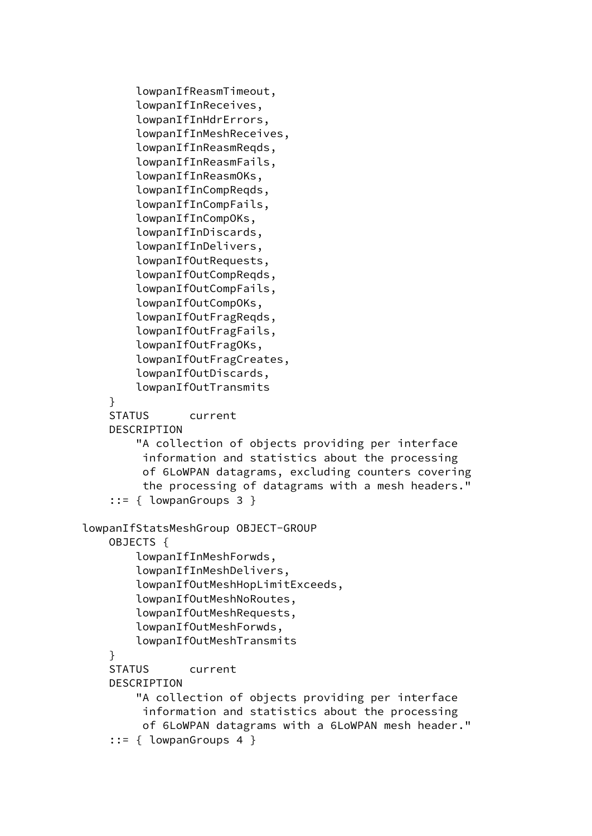```
 lowpanIfReasmTimeout,
         lowpanIfInReceives,
         lowpanIfInHdrErrors,
         lowpanIfInMeshReceives,
         lowpanIfInReasmReqds,
         lowpanIfInReasmFails,
         lowpanIfInReasmOKs,
         lowpanIfInCompReqds,
         lowpanIfInCompFails,
         lowpanIfInCompOKs,
         lowpanIfInDiscards,
         lowpanIfInDelivers,
         lowpanIfOutRequests,
         lowpanIfOutCompReqds,
         lowpanIfOutCompFails,
         lowpanIfOutCompOKs,
         lowpanIfOutFragReqds,
         lowpanIfOutFragFails,
         lowpanIfOutFragOKs,
         lowpanIfOutFragCreates,
         lowpanIfOutDiscards,
         lowpanIfOutTransmits
     }
     STATUS current
     DESCRIPTION
         "A collection of objects providing per interface
          information and statistics about the processing
          of 6LoWPAN datagrams, excluding counters covering
          the processing of datagrams with a mesh headers."
     ::= { lowpanGroups 3 }
 lowpanIfStatsMeshGroup OBJECT-GROUP
     OBJECTS {
         lowpanIfInMeshForwds,
         lowpanIfInMeshDelivers,
         lowpanIfOutMeshHopLimitExceeds,
         lowpanIfOutMeshNoRoutes,
         lowpanIfOutMeshRequests,
         lowpanIfOutMeshForwds,
         lowpanIfOutMeshTransmits
     }
     STATUS current
     DESCRIPTION
         "A collection of objects providing per interface
          information and statistics about the processing
          of 6LoWPAN datagrams with a 6LoWPAN mesh header."
     ::= { lowpanGroups 4 }
```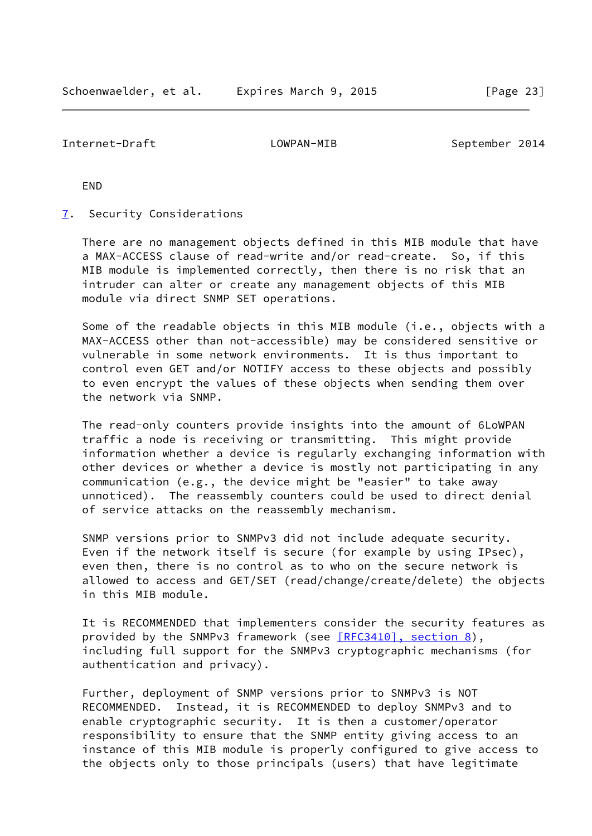<span id="page-26-1"></span>Internet-Draft LOWPAN-MIB September 2014

END

<span id="page-26-0"></span>[7](#page-26-0). Security Considerations

 There are no management objects defined in this MIB module that have a MAX-ACCESS clause of read-write and/or read-create. So, if this MIB module is implemented correctly, then there is no risk that an intruder can alter or create any management objects of this MIB module via direct SNMP SET operations.

Some of the readable objects in this MIB module (i.e., objects with a MAX-ACCESS other than not-accessible) may be considered sensitive or vulnerable in some network environments. It is thus important to control even GET and/or NOTIFY access to these objects and possibly to even encrypt the values of these objects when sending them over the network via SNMP.

 The read-only counters provide insights into the amount of 6LoWPAN traffic a node is receiving or transmitting. This might provide information whether a device is regularly exchanging information with other devices or whether a device is mostly not participating in any communication (e.g., the device might be "easier" to take away unnoticed). The reassembly counters could be used to direct denial of service attacks on the reassembly mechanism.

 SNMP versions prior to SNMPv3 did not include adequate security. Even if the network itself is secure (for example by using IPsec), even then, there is no control as to who on the secure network is allowed to access and GET/SET (read/change/create/delete) the objects in this MIB module.

 It is RECOMMENDED that implementers consider the security features as provided by the SNMPv3 framework (see [\[RFC3410\], section](https://datatracker.ietf.org/doc/pdf/rfc3410#section-8) 8), including full support for the SNMPv3 cryptographic mechanisms (for authentication and privacy).

 Further, deployment of SNMP versions prior to SNMPv3 is NOT RECOMMENDED. Instead, it is RECOMMENDED to deploy SNMPv3 and to enable cryptographic security. It is then a customer/operator responsibility to ensure that the SNMP entity giving access to an instance of this MIB module is properly configured to give access to the objects only to those principals (users) that have legitimate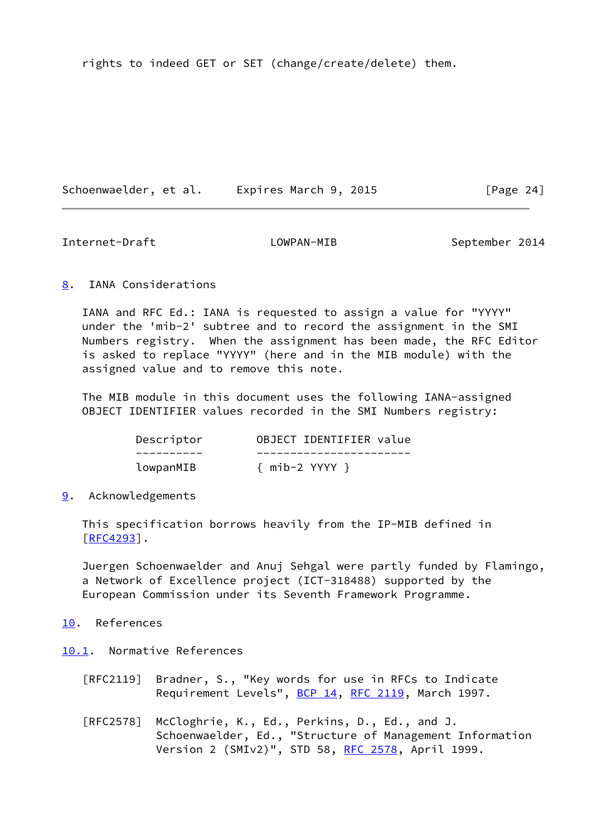rights to indeed GET or SET (change/create/delete) them.

Schoenwaelder, et al. Expires March 9, 2015 [Page 24]

<span id="page-27-1"></span>Internet-Draft LOWPAN-MIB September 2014

# <span id="page-27-0"></span>[8](#page-27-0). IANA Considerations

 IANA and RFC Ed.: IANA is requested to assign a value for "YYYY" under the 'mib-2' subtree and to record the assignment in the SMI Numbers registry. When the assignment has been made, the RFC Editor is asked to replace "YYYY" (here and in the MIB module) with the assigned value and to remove this note.

 The MIB module in this document uses the following IANA-assigned OBJECT IDENTIFIER values recorded in the SMI Numbers registry:

| Descriptor | OBJECT IDENTIFIER value |
|------------|-------------------------|
|            |                         |
| lowpanMIB  | $\{$ mib-2 YYYY $\}$    |

# <span id="page-27-2"></span>[9](#page-27-2). Acknowledgements

 This specification borrows heavily from the IP-MIB defined in  $[RFC4293]$  $[RFC4293]$ .

 Juergen Schoenwaelder and Anuj Sehgal were partly funded by Flamingo, a Network of Excellence project (ICT-318488) supported by the European Commission under its Seventh Framework Programme.

# <span id="page-27-3"></span>[10.](#page-27-3) References

<span id="page-27-4"></span>[10.1](#page-27-4). Normative References

- [RFC2119] Bradner, S., "Key words for use in RFCs to Indicate Requirement Levels", [BCP 14](https://datatracker.ietf.org/doc/pdf/bcp14), [RFC 2119](https://datatracker.ietf.org/doc/pdf/rfc2119), March 1997.
- [RFC2578] McCloghrie, K., Ed., Perkins, D., Ed., and J. Schoenwaelder, Ed., "Structure of Management Information Version 2 (SMIv2)", STD 58, [RFC 2578,](https://datatracker.ietf.org/doc/pdf/rfc2578) April 1999.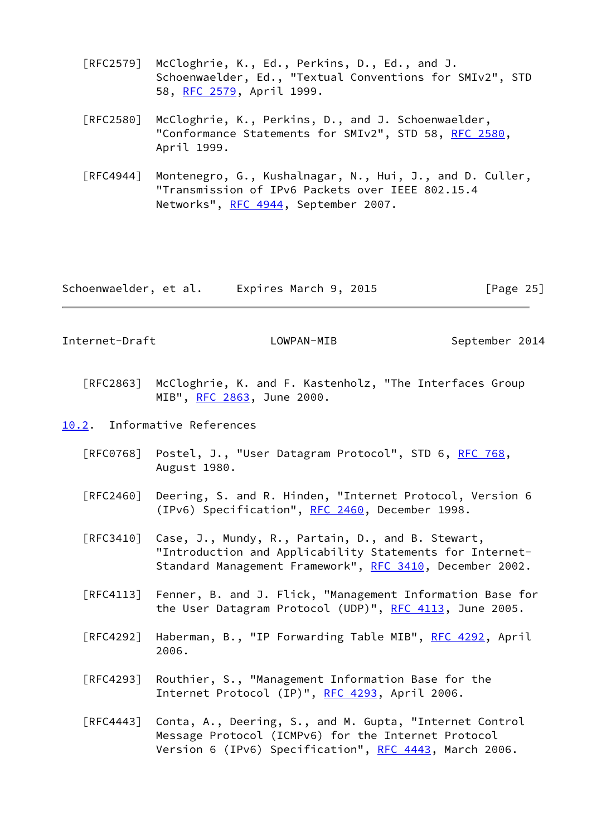- [RFC2579] McCloghrie, K., Ed., Perkins, D., Ed., and J. Schoenwaelder, Ed., "Textual Conventions for SMIv2", STD 58, [RFC 2579,](https://datatracker.ietf.org/doc/pdf/rfc2579) April 1999.
- [RFC2580] McCloghrie, K., Perkins, D., and J. Schoenwaelder, "Conformance Statements for SMIv2", STD 58, [RFC 2580,](https://datatracker.ietf.org/doc/pdf/rfc2580) April 1999.
- [RFC4944] Montenegro, G., Kushalnagar, N., Hui, J., and D. Culler, "Transmission of IPv6 Packets over IEEE 802.15.4 Networks", [RFC 4944](https://datatracker.ietf.org/doc/pdf/rfc4944), September 2007.

<span id="page-28-1"></span>Schoenwaelder, et al. Expires March 9, 2015 [Page 25]

- [RFC2863] McCloghrie, K. and F. Kastenholz, "The Interfaces Group MIB", [RFC 2863](https://datatracker.ietf.org/doc/pdf/rfc2863), June 2000.
- <span id="page-28-0"></span>[10.2](#page-28-0). Informative References
	- [RFC0768] Postel, J., "User Datagram Protocol", STD 6, [RFC 768](https://datatracker.ietf.org/doc/pdf/rfc768), August 1980.
	- [RFC2460] Deering, S. and R. Hinden, "Internet Protocol, Version 6 (IPv6) Specification", [RFC 2460](https://datatracker.ietf.org/doc/pdf/rfc2460), December 1998.
	- [RFC3410] Case, J., Mundy, R., Partain, D., and B. Stewart, "Introduction and Applicability Statements for Internet- Standard Management Framework", [RFC 3410,](https://datatracker.ietf.org/doc/pdf/rfc3410) December 2002.
	- [RFC4113] Fenner, B. and J. Flick, "Management Information Base for the User Datagram Protocol (UDP)", [RFC 4113](https://datatracker.ietf.org/doc/pdf/rfc4113), June 2005.
	- [RFC4292] Haberman, B., "IP Forwarding Table MIB", [RFC 4292,](https://datatracker.ietf.org/doc/pdf/rfc4292) April 2006.
	- [RFC4293] Routhier, S., "Management Information Base for the Internet Protocol (IP)", [RFC 4293,](https://datatracker.ietf.org/doc/pdf/rfc4293) April 2006.
	- [RFC4443] Conta, A., Deering, S., and M. Gupta, "Internet Control Message Protocol (ICMPv6) for the Internet Protocol Version 6 (IPv6) Specification", [RFC 4443,](https://datatracker.ietf.org/doc/pdf/rfc4443) March 2006.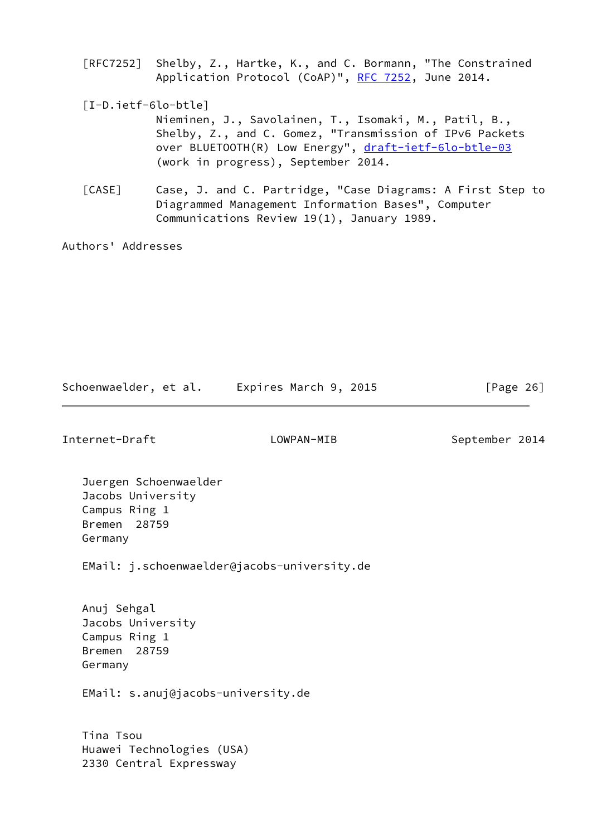[RFC7252] Shelby, Z., Hartke, K., and C. Bormann, "The Constrained Application Protocol (CoAP)", [RFC 7252](https://datatracker.ietf.org/doc/pdf/rfc7252), June 2014.

<span id="page-29-0"></span>[I-D.ietf-6lo-btle]

 Nieminen, J., Savolainen, T., Isomaki, M., Patil, B., Shelby, Z., and C. Gomez, "Transmission of IPv6 Packets over BLUETOOTH(R) Low Energy", [draft-ietf-6lo-btle-03](https://datatracker.ietf.org/doc/pdf/draft-ietf-6lo-btle-03) (work in progress), September 2014.

<span id="page-29-1"></span> [CASE] Case, J. and C. Partridge, "Case Diagrams: A First Step to Diagrammed Management Information Bases", Computer Communications Review 19(1), January 1989.

Authors' Addresses

Schoenwaelder, et al. Expires March 9, 2015 [Page 26]

Internet-Draft LOWPAN-MIB September 2014

 Juergen Schoenwaelder Jacobs University Campus Ring 1 Bremen 28759 Germany

EMail: j.schoenwaelder@jacobs-university.de

 Anuj Sehgal Jacobs University Campus Ring 1 Bremen 28759 Germany

EMail: s.anuj@jacobs-university.de

 Tina Tsou Huawei Technologies (USA) 2330 Central Expressway